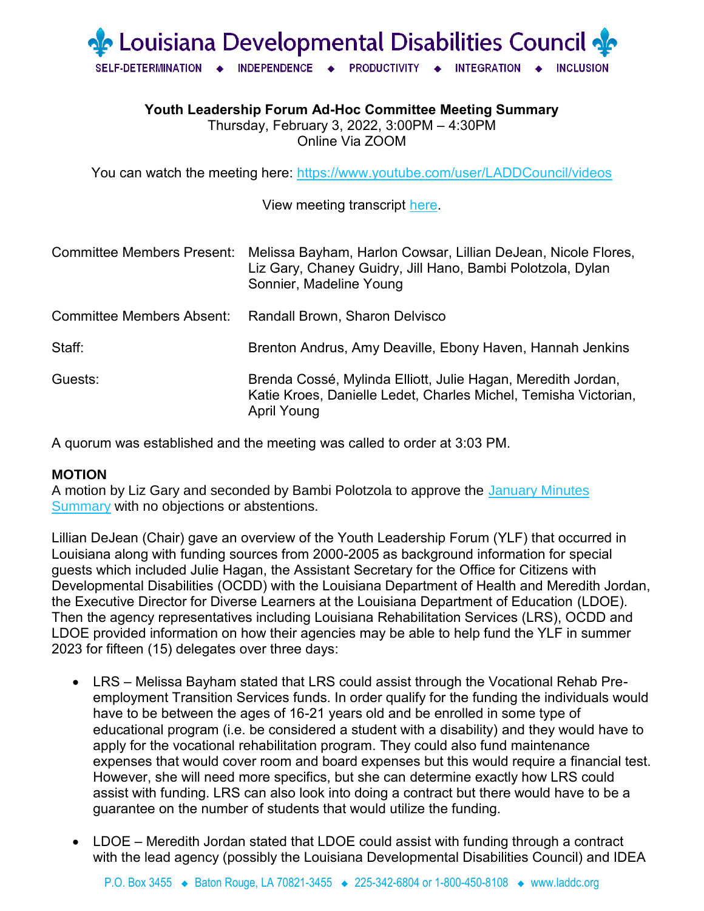

**Youth Leadership Forum Ad-Hoc Committee Meeting Summary**

Thursday, February 3, 2022, 3:00PM – 4:30PM Online Via ZOOM

You can watch the meeting here:<https://www.youtube.com/user/LADDCouncil/videos>

View meeting transcript [here.](https://laddc.org/wp-content/uploads/2022/02/LDDC.YLF2_.3.22.pdf)

| <b>Committee Members Present:</b> | Melissa Bayham, Harlon Cowsar, Lillian DeJean, Nicole Flores,<br>Liz Gary, Chaney Guidry, Jill Hano, Bambi Polotzola, Dylan<br>Sonnier, Madeline Young |
|-----------------------------------|--------------------------------------------------------------------------------------------------------------------------------------------------------|
| Committee Members Absent:         | Randall Brown, Sharon Delvisco                                                                                                                         |
| Staff:                            | Brenton Andrus, Amy Deaville, Ebony Haven, Hannah Jenkins                                                                                              |
| Guests:                           | Brenda Cossé, Mylinda Elliott, Julie Hagan, Meredith Jordan,<br>Katie Kroes, Danielle Ledet, Charles Michel, Temisha Victorian,<br>April Young         |

A quorum was established and the meeting was called to order at 3:03 PM.

## **MOTION**

A motion by Liz Gary and seconded by Bambi Polotzola to approve the January Minutes [Summary](https://laddc.org/wp-content/uploads/2022/01/YLF-Summary-January-2022-.pdf) with no objections or abstentions.

Lillian DeJean (Chair) gave an overview of the Youth Leadership Forum (YLF) that occurred in Louisiana along with funding sources from 2000-2005 as background information for special guests which included Julie Hagan, the Assistant Secretary for the Office for Citizens with Developmental Disabilities (OCDD) with the Louisiana Department of Health and Meredith Jordan, the Executive Director for Diverse Learners at the Louisiana Department of Education (LDOE). Then the agency representatives including Louisiana Rehabilitation Services (LRS), OCDD and LDOE provided information on how their agencies may be able to help fund the YLF in summer 2023 for fifteen (15) delegates over three days:

- LRS Melissa Bayham stated that LRS could assist through the Vocational Rehab Preemployment Transition Services funds. In order qualify for the funding the individuals would have to be between the ages of 16-21 years old and be enrolled in some type of educational program (i.e. be considered a student with a disability) and they would have to apply for the vocational rehabilitation program. They could also fund maintenance expenses that would cover room and board expenses but this would require a financial test. However, she will need more specifics, but she can determine exactly how LRS could assist with funding. LRS can also look into doing a contract but there would have to be a guarantee on the number of students that would utilize the funding.
- LDOE Meredith Jordan stated that LDOE could assist with funding through a contract with the lead agency (possibly the Louisiana Developmental Disabilities Council) and IDEA